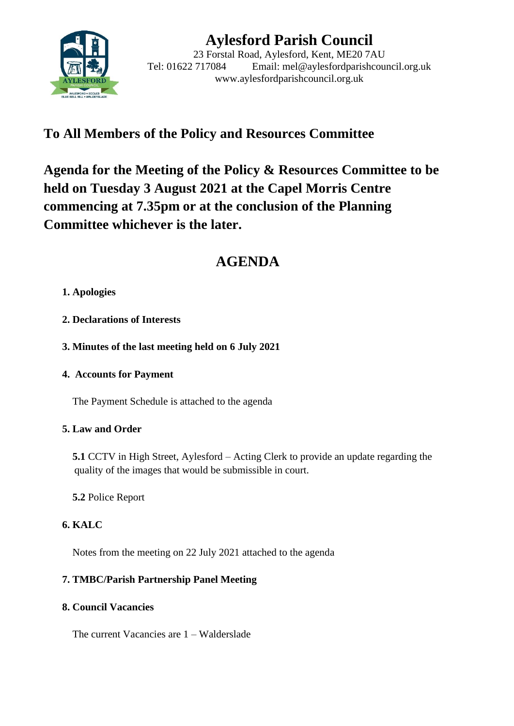

# **Aylesford Parish Council**

23 Forstal Road, Aylesford, Kent, ME20 7AU Tel: 01622 717084 Email: mel@aylesfordparishcouncil.org.uk www.aylesfordparishcouncil.org.uk

## **To All Members of the Policy and Resources Committee**

**Agenda for the Meeting of the Policy & Resources Committee to be held on Tuesday 3 August 2021 at the Capel Morris Centre commencing at 7.35pm or at the conclusion of the Planning Committee whichever is the later.**

## **AGENDA**

## **1. Apologies**

- **2. Declarations of Interests**
- **3. Minutes of the last meeting held on 6 July 2021**
- **4. Accounts for Payment**

The Payment Schedule is attached to the agenda

## **5. Law and Order**

 **5.1** CCTV in High Street, Aylesford – Acting Clerk to provide an update regarding the quality of the images that would be submissible in court.

**5.2** Police Report

## **6. KALC**

Notes from the meeting on 22 July 2021 attached to the agenda

## **7. TMBC/Parish Partnership Panel Meeting**

## **8. Council Vacancies**

The current Vacancies are 1 – Walderslade